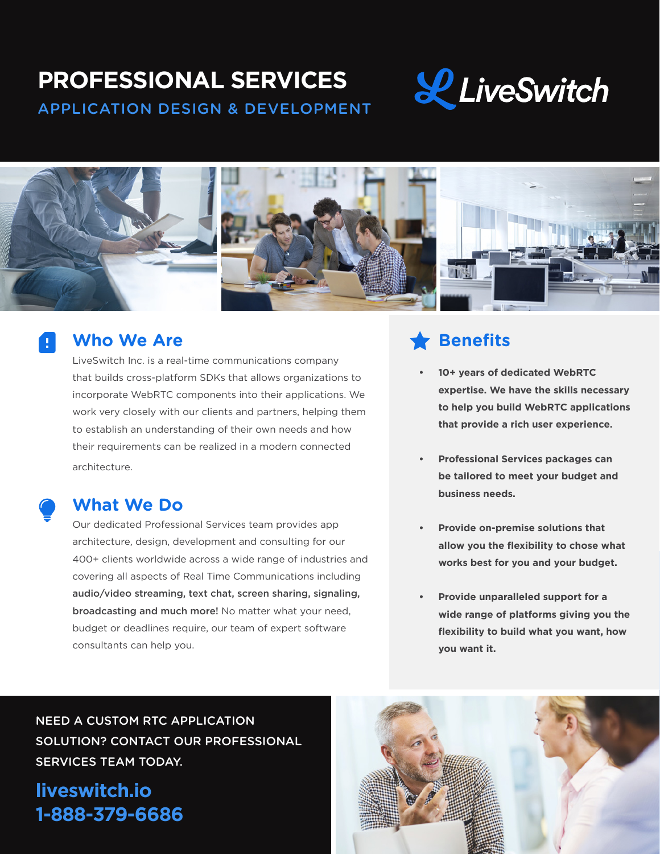# **PROFESSIONAL SERVICES**

APPLICATION DESIGN & DEVELOPMENT





### **Who We Are**

LiveSwitch Inc. is a real-time communications company that builds cross-platform SDKs that allows organizations to incorporate WebRTC components into their applications. We work very closely with our clients and partners, helping them to establish an understanding of their own needs and how their requirements can be realized in a modern connected architecture.

## **What We Do**

Our dedicated Professional Services team provides app architecture, design, development and consulting for our 400+ clients worldwide across a wide range of industries and covering all aspects of Real Time Communications including audio/video streaming, text chat, screen sharing, signaling, broadcasting and much more! No matter what your need, budget or deadlines require, our team of expert software consultants can help you.

## **Benefits**

- **• 10+ years of dedicated WebRTC expertise. We have the skills necessary to help you build WebRTC applications that provide a rich user experience.**
- **• Professional Services packages can be tailored to meet your budget and business needs.**
- **• Provide on-premise solutions that allow you the flexibility to chose what works best for you and your budget.**
- **• Provide unparalleled support for a wide range of platforms giving you the flexibility to build what you want, how you want it.**

NEED A CUSTOM RTC APPLICATION SOLUTION? CONTACT OUR PROFESSIONAL SERVICES TEAM TODAY.

**liveswitch.io 1-888-379-6686**